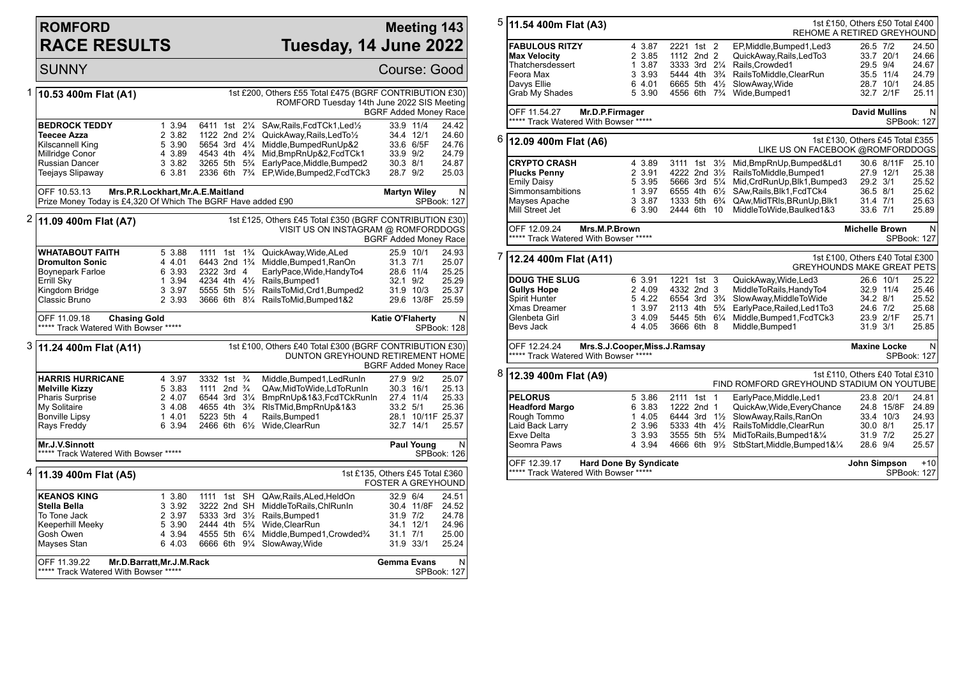## **ROMFORD RACE RESULTS**

## **Meeting 143 Tuesday, 14 June 2022**

|   | <b>SUNNY</b>                                                                                                                       |                                                                                                                                |                                                                                                                                                       |                                                                                                                                                                                                                           | Course: Good                                                                 |                                                                |  |
|---|------------------------------------------------------------------------------------------------------------------------------------|--------------------------------------------------------------------------------------------------------------------------------|-------------------------------------------------------------------------------------------------------------------------------------------------------|---------------------------------------------------------------------------------------------------------------------------------------------------------------------------------------------------------------------------|------------------------------------------------------------------------------|----------------------------------------------------------------|--|
| 1 | 10.53 400m Flat (A1)                                                                                                               |                                                                                                                                |                                                                                                                                                       | 1st £200, Others £55 Total £475 (BGRF CONTRIBUTION £30)<br>ROMFORD Tuesday 14th June 2022 SIS Meeting                                                                                                                     | <b>BGRF Added Money Race</b>                                                 |                                                                |  |
|   | <b>BEDROCK TEDDY</b><br><b>Teecee Azza</b><br>Kilscannell King<br>Millridge Conor<br>Russian Dancer<br>Teejays Slipaway            | 1 3.94<br>2 3.82<br>5 3.90<br>4 3.89<br>3 3.82<br>6 3.81                                                                       | 6411 1st 21/4<br>1122 2nd 21/4<br>5654 3rd 41/4<br>4543 4th 4 <sup>3</sup> / <sub>4</sub><br>3265 5th 5 <sup>3</sup> / <sub>4</sub>                   | SAw, Rails, FcdTCk1, Led <sup>1</sup> / <sub>2</sub><br>QuickAway, Rails, LedTo1/2<br>Middle, BumpedRunUp&2<br>Mid, BmpRnUp&2, FcdTCk1<br>EarlyPace, Middle, Bumped2<br>2336 6th 7% EP, Wide, Bumped2, FcdTCk3            | 33.9 11/4<br>34.4 12/1<br>33.6 6/5F<br>33.9 9/2<br>30.3 8/1<br>28.7 9/2      | 24.42<br>24.60<br>24.76<br>24.79<br>24.87<br>25.03             |  |
|   | OFF 10.53.13<br>Prize Money Today is £4,320 Of Which The BGRF Have added £90                                                       |                                                                                                                                | Mrs.P.R.Lockhart, Mr.A.E.Maitland                                                                                                                     |                                                                                                                                                                                                                           | <b>Martyn Wiley</b>                                                          | N<br>SPBook: 127                                               |  |
| 2 | 11.09 400m Flat (A7)                                                                                                               | 1st £125, Others £45 Total £350 (BGRF CONTRIBUTION £30)<br>VISIT US ON INSTAGRAM @ ROMFORDDOGS<br><b>BGRF Added Money Race</b> |                                                                                                                                                       |                                                                                                                                                                                                                           |                                                                              |                                                                |  |
|   | WHATABOUT FAITH<br><b>Dromulton Sonic</b><br>Boynepark Farloe<br>Errill Sky<br>Kingdom Bridge<br>Classic Bruno                     | 5 3.88<br>4 4.01<br>6 3.93<br>1 3.94<br>3 3.97<br>2 3.93                                                                       | 6443 2nd 1 <sup>3</sup> / <sub>4</sub><br>2322 3rd 4<br>5555 5th 5½                                                                                   | 1111 1st 1 <sup>3</sup> / <sub>4</sub> QuickAway, Wide, ALed<br>Middle, Bumped1, RanOn<br>EarlyPace, Wide, HandyTo4<br>4234 4th 41/2 Rails, Bumped 1<br>RailsToMid, Crd1, Bumped2<br>3666 6th 81/4 RailsToMid, Bumped 1&2 | 25.9 10/1<br>31.3 7/1<br>28.6 11/4<br>32.1 9/2<br>31.9 10/3<br>29.6 13/8F    | 24.93<br>25.07<br>25.25<br>25.29<br>25.37<br>25.59             |  |
|   | OFF 11.09.18<br><b>Chasing Gold</b><br>***** Track Watered With Bowser *****                                                       |                                                                                                                                |                                                                                                                                                       |                                                                                                                                                                                                                           | Katie O'Flaherty                                                             | N<br>SPBook: 128                                               |  |
| 3 | 11.24 400m Flat (A11)                                                                                                              |                                                                                                                                |                                                                                                                                                       | 1st £100, Others £40 Total £300 (BGRF CONTRIBUTION £30)<br>DUNTON GREYHOUND RETIREMENT HOME                                                                                                                               | <b>BGRF Added Money Race</b>                                                 |                                                                |  |
|   | <b>HARRIS HURRICANE</b><br><b>Melville Kizzy</b><br><b>Pharis Surprise</b><br>My Solitaire<br><b>Bonville Lipsy</b><br>Rays Freddy | 4 3.97<br>5 3.83<br>2 4.07<br>3 4.08<br>1 4.01<br>6 3.94                                                                       | 3332 1st <sup>3</sup> / <sub>4</sub><br>1111 2nd <sup>3</sup> / <sub>4</sub><br>6544 3rd 31/4<br>4655 4th 3 <sup>3</sup> / <sub>4</sub><br>5223 5th 4 | Middle, Bumped1, LedRunIn<br>QAw, MidToWide, LdToRunIn<br>BmpRnUp&1&3,FcdTCkRunIn<br>RIsTMid, BmpRnUp&1&3<br>Rails, Bumped1<br>2466 6th 61/2 Wide, ClearRun                                                               | 27.9 9/2<br>30.3 16/1<br>27.4 11/4<br>33.2 5/1<br>32.7 14/1                  | 25.07<br>25.13<br>25.33<br>25.36<br>28.1 10/11F 25.37<br>25.57 |  |
|   | Mr.J.V.Sinnott<br>***** Track Watered With Bowser *****                                                                            |                                                                                                                                |                                                                                                                                                       |                                                                                                                                                                                                                           | <b>Paul Young</b>                                                            | N<br><b>SPBook: 126</b>                                        |  |
|   | <sup>4</sup> 11.39 400m Flat (A5)                                                                                                  |                                                                                                                                | 1st £135, Others £45 Total £360<br><b>FOSTER A GREYHOUND</b>                                                                                          |                                                                                                                                                                                                                           |                                                                              |                                                                |  |
|   | <b>KEANOS KING</b><br>Stella Bella<br>To Tone Jack<br>Keeperhill Meeky<br>Gosh Owen<br>Mayses Stan                                 | 1 3.80<br>3 3.92<br>2 3.97<br>5 3.90<br>4 3.94<br>6 4.03                                                                       | 1111 1st SH<br>3222 2nd SH<br>5333 3rd 31/2<br>2444 4th 5 <sup>3</sup> / <sub>4</sub><br>4555 5th 61/4<br>6666 6th 91/4                               | QAw, Rails, ALed, HeldOn<br>MiddleToRails, ChlRunIn<br>Rails, Bumped1<br>Wide.ClearRun<br>Middle, Bumped1, Crowded3/4<br>SlowAway, Wide                                                                                   | 32.9 6/4<br>30.4 11/8F<br>31.9 7/2<br>34.1 12/1<br>$31.1$ $7/1$<br>31.9 33/1 | 24.51<br>24.52<br>24.78<br>24.96<br>25.00<br>25.24             |  |
|   | OFF 11.39.22<br>***** Track Watered With Bowser *****                                                                              | Mr.D.Barratt, Mr.J.M.Rack                                                                                                      |                                                                                                                                                       | <b>Gemma Evans</b>                                                                                                                                                                                                        | N<br>SPBook: 127                                                             |                                                                |  |

| 5<br>11.54 400m Flat (A3)                                                                 |                               |                                        |                | 1st £150, Others £50 Total £400<br>REHOME A RETIRED GREYHOUND                |                       |                      |                  |
|-------------------------------------------------------------------------------------------|-------------------------------|----------------------------------------|----------------|------------------------------------------------------------------------------|-----------------------|----------------------|------------------|
| <b>FABULOUS RITZY</b><br><b>Max Velocity</b>                                              | 4 3.87<br>2 3.85              | 2221 1st 2<br>1112 2nd 2               |                | EP, Middle, Bumped 1, Led 3<br>QuickAway,Rails,LedTo3                        | 26.5 7/2              | 33.7 20/1            | 24.50<br>24.66   |
| Thatchersdessert                                                                          | 1 3.87                        | 3333 3rd 21/4                          |                | Rails, Crowded1                                                              | 29.5 9/4              |                      | 24.67            |
| Feora Max                                                                                 | 3 3.93                        | 5444 4th                               | $3\frac{3}{4}$ | RailsToMiddle,ClearRun                                                       |                       | 35.5 11/4            | 24.79            |
| Davys Ellie                                                                               | 6 4.01                        | 6665 5th 41/2                          |                | SlowAway, Wide                                                               |                       | 28.7 10/1            | 24.85            |
| Grab My Shades                                                                            | 5 3.90                        | 4556 6th                               | $7\frac{3}{4}$ | Wide, Bumped1                                                                |                       | 32.7 2/1F            | 25.11            |
|                                                                                           |                               |                                        |                |                                                                              |                       |                      |                  |
| OFF 11.54.27<br>Mr.D.P.Firmager                                                           |                               |                                        |                |                                                                              |                       | <b>David Mullins</b> | N                |
| ***** Track Watered With Bowser *****                                                     |                               | SPBook: 127                            |                |                                                                              |                       |                      |                  |
| 6<br>12.09 400m Flat (A6)                                                                 |                               |                                        |                | 1st £130, Others £45 Total £355<br>LIKE US ON FACEBOOK @ROMFORDDOGS          |                       |                      |                  |
| <b>CRYPTO CRASH</b>                                                                       | 4 3.89                        | 3111 1st 31/ <sub>2</sub>              |                | Mid, BmpRnUp, Bumped&Ld1                                                     |                       | 30.6 8/11F           | 25.10            |
| <b>Plucks Penny</b>                                                                       | 2 3.91                        | 4222 2nd 31/2                          |                | RailsToMiddle,Bumped1                                                        |                       | 27.9 12/1            | 25.38            |
| Emily Daisy                                                                               | 5 3.95                        | 5666 3rd 51/4                          |                | Mid, CrdRunUp, Blk1, Bumped3                                                 | 29.2 3/1              |                      | 25.52            |
| Simmonsambitions                                                                          | 1 3.97                        | 6555 4th 6½                            |                | SAw, Rails, Blk1, FcdTCk4                                                    | 36.5 8/1              |                      | 25.62            |
| Mayses Apache                                                                             | 3 3.87                        | 1333 5th 6 <sup>3</sup> / <sub>4</sub> |                | QAw, Mid TRIs, BRunUp, Blk1                                                  | 31.4 7/1              |                      | 25.63            |
| Mill Street Jet                                                                           | 6 3.90                        | 2444 6th                               | 10             | MiddleToWide,Baulked1&3                                                      | 33.6 7/1              |                      | 25.89            |
| OFF 12.09.24<br>Mrs.M.P.Brown<br>***** Track Watered With Bowser *****                    |                               |                                        |                |                                                                              | <b>Michelle Brown</b> |                      | N<br>SPBook: 127 |
| 7<br>12.24 400m Flat (A11)                                                                |                               |                                        |                | 1st £100, Others £40 Total £300<br><b>GREYHOUNDS MAKE GREAT PETS</b>         |                       |                      |                  |
| <b>DOUG THE SLUG</b>                                                                      | 6 3.91                        | 1221 1st 3                             |                | QuickAway, Wide, Led3                                                        |                       | 26.6 10/1            | 25.22            |
| <b>Gullys Hope</b>                                                                        | 2 4.09                        | 4332 2nd 3                             |                | MiddleToRails, HandyTo4                                                      |                       | 32.9 11/4            | 25.46            |
| Spirit Hunter                                                                             | 5 4.22                        | 6554 3rd 3 <sup>3</sup> / <sub>4</sub> |                | SlowAway, MiddleToWide                                                       | 34.2 8/1              |                      | 25.52            |
| Xmas Dreamer                                                                              | 1 3.97                        | 2113 4th 5 <sup>3</sup> / <sub>4</sub> |                | EarlyPace,Railed,Led1To3                                                     | 24.6 7/2              |                      | 25.68            |
| Glenbeta Girl                                                                             | 3 4.09                        | 5445 5th 61/4                          |                | Middle, Bumped1, FcdTCk3                                                     |                       | 23.9 2/1F            | 25.71            |
| Bevs Jack                                                                                 | 4 4.05                        | 3666 6th 8                             |                | Middle, Bumped1                                                              | 31.9 3/1              |                      | 25.85            |
| OFF 12.24.24<br>***** Track Watered With Bowser *****                                     | Mrs.S.J.Cooper, Miss.J.Ramsay |                                        |                |                                                                              | <b>Maxine Locke</b>   |                      | N<br>SPBook: 127 |
| 8<br>12.39 400m Flat (A9)                                                                 |                               |                                        |                | 1st £110, Others £40 Total £310<br>FIND ROMFORD GREYHOUND STADIUM ON YOUTUBE |                       |                      |                  |
| <b>PELORUS</b>                                                                            | 5 3.86                        | 2111 1st 1                             |                | EarlyPace, Middle, Led1                                                      |                       | 23.8 20/1            | 24.81            |
| <b>Headford Margo</b>                                                                     | 6 3.83                        | 1222 2nd 1                             |                | QuickAw, Wide, Every Chance                                                  |                       | 24.8 15/8F           | 24.89            |
| Rough Tommo                                                                               | 1 4.05                        | 6444 3rd 1½                            |                | SlowAway, Rails, RanOn                                                       |                       | 33.4 10/3            | 24.93            |
| Laid Back Larry                                                                           | 2 3.96                        |                                        |                | 5333 4th 41/ <sub>2</sub> RailsToMiddle, ClearRun                            | 30.0 8/1              |                      | 25.17            |
| Exve Delta                                                                                | 3 3.93                        | 3555 5th 5 <sup>3</sup> / <sub>4</sub> |                | MidToRails, Bumped 1& 1/4                                                    | 31.9 7/2              |                      | 25.27            |
| Seomra Paws                                                                               | 4 3.94                        |                                        |                | 4666 6th 91/ <sub>2</sub> StbStart, Middle, Bumped 1&1/ <sub>4</sub>         | 28.6 9/4              |                      | 25.57            |
| OFF 12.39.17<br><b>Hard Done By Syndicate</b><br>*****<br>Track Watered With Bowser ***** |                               | John Simpson                           |                | $+10$<br>SPBook: 127                                                         |                       |                      |                  |